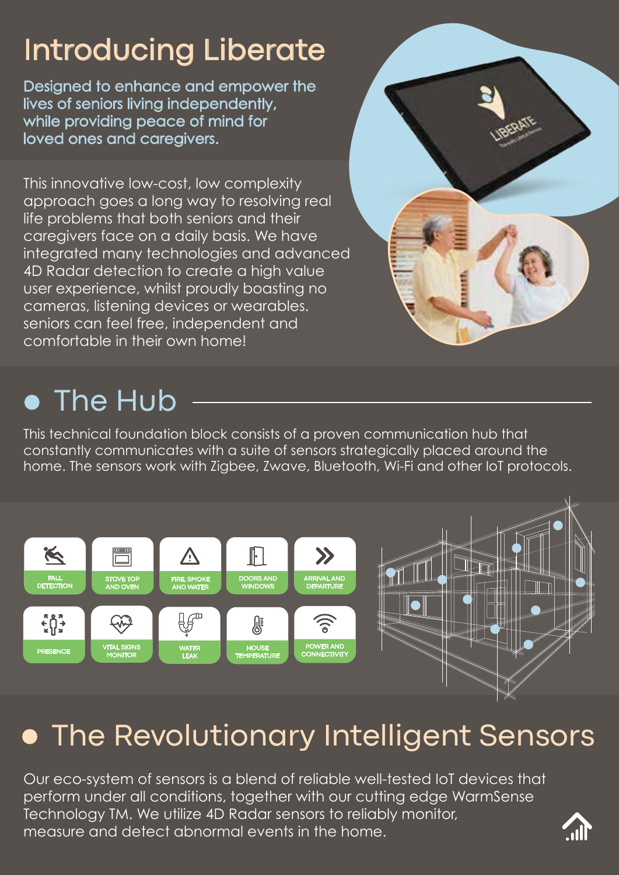# Introducing Liberate

Designed to enhance and empower the lives of seniors living independently, while providing peace of mind for loved ones and caregivers.

This innovative low-cost, low complexity approach goes a long way to resolving real life problems that both seniors and their caregivers face on a daily basis. We have integrated many technologies and advanced 4D Radar detection to create a high value user experience, whilst proudly boasting no cameras, listening devices or wearables. seniors can feel free, independent and comfortable in their own home!

## **• The Hub**

This technical foundation block consists of a proven communication hub that constantly communicates with a suite of sensors strategically placed around the home. The sensors work with Zigbee, Zwave, Bluetooth, Wi-Fi and other IoT protocols.



## **• The Revolutionary Intelligent Sensors**

Our eco-system of sensors is a blend of reliable well-tested IoT devices that perform under all conditions, together with our cutting edge WarmSense Technology TM. We utilize 4D Radar sensors to reliably monitor, measure and detect abnormal events in the home.

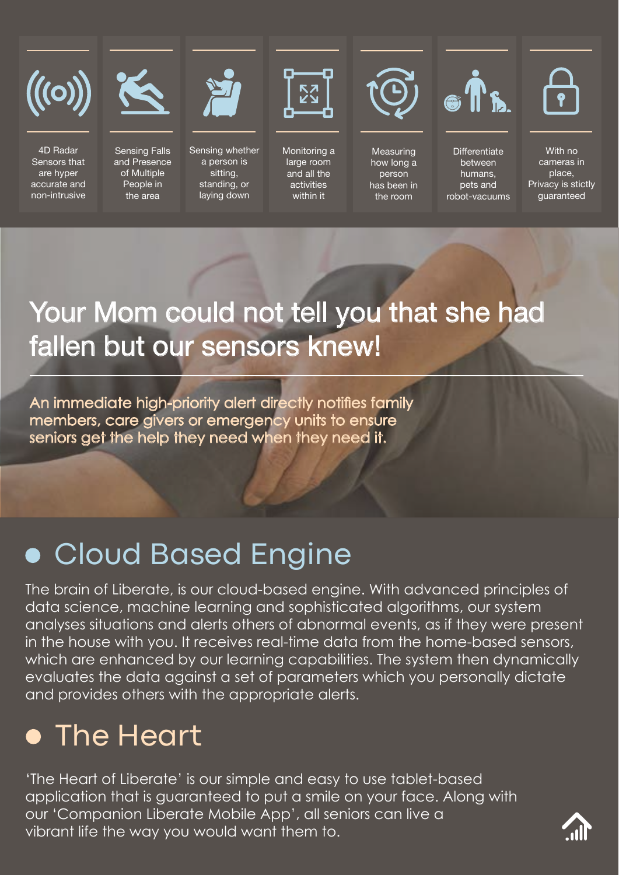

4D Radar **Sensors that** are hyper accurate and non-intrusive



Sensing Falls and Presence of Multiple People in the area



Sensing whether a person is sitting, standing, or laying down



Monitoring a large room and all the activities within it



Measuring how long a person has been in the room



Differentiate between humans, pets and robot-vacuums



With no cameras in place. Privacy is stictly guaranteed

### Your Mom could not tell you that she had fallen but our sensors knew!

An immediate high-priority alert directly notifies family members, care givers or emergency units to ensure seniors get the help they need when they need it.

### **. Cloud Based Engine**

The brain of Liberate, is our cloud-based engine. With advanced principles of data science, machine learning and sophisticated algorithms, our system analyses situations and alerts others of abnormal events, as if they were present in the house with you. It receives real-time data from the home-based sensors, which are enhanced by our learning capabilities. The system then dynamically evaluates the data against a set of parameters which you personally dictate and provides others with the appropriate alerts.

### **• The Heart**

'The Heart of Liberate' is our simple and easy to use tablet-based application that is guaranteed to put a smile on your face. Along with our 'Companion Liberate Mobile App', all seniors can live a vibrant life the way you would want them to.